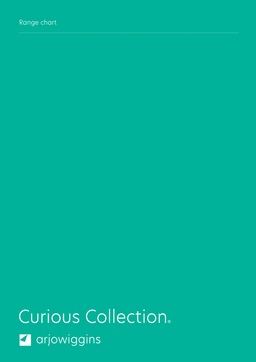# Range chart

Curious Collection. **Z** arjowiggins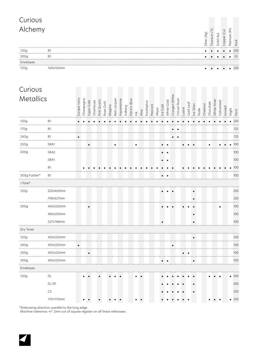| Curious             |                |              |           |            |            |             |           |       |             |            |         |               |               |      |            |         |       |          |            |               |               |        |           |            |      |             |           |               |              |            |             |               |               |
|---------------------|----------------|--------------|-----------|------------|------------|-------------|-----------|-------|-------------|------------|---------|---------------|---------------|------|------------|---------|-------|----------|------------|---------------|---------------|--------|-----------|------------|------|-------------|-----------|---------------|--------------|------------|-------------|---------------|---------------|
| Alchemy             |                |              |           |            |            |             |           |       |             |            |         |               |               |      |            |         |       |          |            |               |               |        |           |            |      | Silver (Ag) |           | Titanium (Ti) | Gold (Au)    |            | Copper (Cu) | Platinum (Pt) | Pack          |
| 120g<br>300g        | B1<br>B1       |              |           |            |            |             |           |       |             |            |         |               |               |      |            |         |       |          |            |               |               |        |           |            |      |             |           |               |              |            |             | $\bullet$     | 200<br>50     |
| Envelopes<br>120g   | 160x160mm      |              |           |            |            |             |           |       |             |            |         |               |               |      |            |         |       |          |            |               |               |        |           |            |      |             |           |               |              |            |             |               | 250           |
| Curious             |                |              |           |            |            |             |           |       |             |            |         |               |               |      |            |         |       |          |            |               |               |        |           |            |      |             |           |               |              |            |             |               |               |
| Metallics           |                | Europa Ivory | Champagne | Super Gold | Chartreuse | Pink Quartz | Rose Gold | Magma | Red Lacquer | Aquamarine | laeberg | Electric Blue | $\check{\Xi}$ | Aloe | Eucalyptus | Peacock | Abyss | Ice Gold | White Gold | Cryogen White | Virtual Pearl | Lustre | Gold Leaf | Ice Silver | Nude | Chestnut    | Chocolate |               | White Silver | Galvanised | lonised     |               | Night<br>Pack |
| 120g<br>.           | Β1             |              |           |            |            |             |           |       |             |            |         |               |               |      |            |         |       |          |            |               |               |        |           |            |      |             |           |               |              |            |             |               | 250           |
| 170g                | B1             |              |           |            |            |             |           |       |             |            |         |               |               |      |            |         |       |          |            |               | $\bullet$     |        |           |            |      |             |           |               |              |            |             |               | 125           |
| 240g                | B1             | $\bullet$    |           |            |            |             |           |       |             |            |         |               |               |      |            |         |       |          |            |               |               |        |           |            |      |             |           |               |              |            |             |               | 125           |
| .<br>250g           | SRA1           |              |           | $\bullet$  |            |             |           |       | $\bullet$   |            |         |               | ٠             |      |            |         |       |          |            |               |               |        |           |            |      |             |           |               |              |            |             |               | 100           |
| 300g                | SRA2           |              |           |            |            |             |           |       |             |            |         |               |               |      |            |         |       |          |            |               |               |        |           |            |      |             |           |               |              |            |             |               | 100           |
|                     | SRA1           |              |           |            |            |             |           |       |             |            |         |               |               |      |            |         |       |          |            |               |               |        |           |            |      |             |           |               |              |            |             |               | 100           |
|                     | B1             |              |           |            |            |             |           |       |             |            |         |               |               |      |            |         |       |          |            |               |               |        |           |            |      |             |           |               |              |            |             |               | 100           |
| 300g Fusilier*      | <b>B1</b>      |              |           |            |            |             |           |       |             |            |         |               |               |      |            |         |       |          |            |               |               |        |           |            |      |             |           |               |              |            |             |               | 100           |
| i-Tone <sup>®</sup> |                |              |           |            |            |             |           |       |             |            |         |               |               |      |            |         |       |          |            |               |               |        |           |            |      |             |           |               |              |            |             |               |               |
| 120g                | 320x460mm      |              |           |            |            |             |           |       |             |            |         |               |               |      |            |         |       |          |            |               |               |        |           | ٠          |      |             |           |               |              |            |             |               | 250           |
|                     | 748x527mm      |              |           |            |            |             |           |       |             |            |         |               |               |      |            |         |       |          |            |               |               |        |           | $\bullet$  |      |             |           |               |              |            |             |               | 250           |
| 300g                | 460x320mm      |              |           |            |            |             |           |       |             |            |         |               |               |      |            |         |       |          |            |               |               |        |           |            |      |             |           |               |              |            |             |               | 100           |
|                     | 483x330mm      |              |           |            |            |             |           |       |             |            |         |               |               |      |            |         |       |          |            |               |               |        |           |            |      |             |           |               |              |            |             |               | 100           |
|                     | 527x748mm      |              |           |            |            |             |           |       |             |            |         |               |               |      |            |         |       |          |            |               |               |        |           |            |      |             |           |               |              |            |             |               | 100           |
| Dry Toner           |                |              |           |            |            |             |           |       |             |            |         |               |               |      |            |         |       |          |            |               |               |        |           |            |      |             |           |               |              |            |             |               |               |
| 120g<br>.           | 450x320mm<br>. |              |           |            |            |             |           |       |             |            |         |               |               |      |            |         |       |          |            |               |               |        |           |            |      |             |           |               |              |            |             |               | 250           |
| 240g<br>.           | 450x320mm      | $\bullet$    |           |            |            |             |           |       |             |            |         |               |               |      |            |         |       |          |            | $\bullet$     |               |        |           |            |      |             |           |               |              |            |             |               | 100           |
| 250g                | 450x320mm      |              |           |            |            |             |           |       |             |            |         |               |               |      |            |         |       |          |            |               |               |        |           |            |      |             |           |               |              |            |             |               | 100           |
| .<br>300g           | .<br>450x320mm |              |           |            |            |             |           |       |             |            |         |               |               |      |            |         |       |          |            |               |               |        |           | $\bullet$  |      |             |           |               |              |            |             |               | 100           |
| .<br>Envelopes      |                |              |           |            |            |             |           |       |             |            |         |               |               |      |            |         |       |          |            |               |               |        |           |            |      |             |           |               |              |            |             |               |               |
| 120g                | DL             |              |           |            |            |             |           |       |             |            |         |               |               |      |            |         |       |          |            |               |               |        |           |            |      |             |           |               |              |            |             |               | • 500         |
|                     | DL(P)          |              |           |            |            |             |           |       |             |            |         |               |               |      |            |         |       |          |            |               |               |        |           |            |      |             |           |               |              |            |             |               | 500           |
|                     | C5             |              |           |            |            |             |           |       |             |            |         |               |               |      |            |         |       |          |            |               |               |        |           |            |      |             |           |               |              |            |             |               | 250           |
|                     | 170×170mm      |              |           |            |            |             |           |       |             |            |         |               |               |      |            |         |       |          |            |               |               |        |           |            |      |             |           |               |              |            |             |               | • 250         |

\*Embossing direction: parallel to the long edge.

Machine tolerance: +/- 2mm out of square register on all linear embosses.

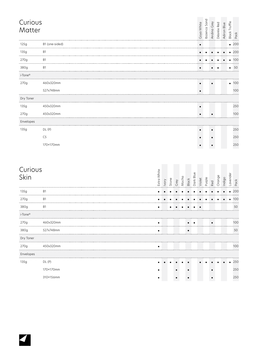| Curious<br>Matter   |                |             |       |       |      |       |       |           | Goya White | Ibizenca Sand | Andina Grey | Désirée Red | Adiron Blue | <b>Black Truffle</b> | Pack          |
|---------------------|----------------|-------------|-------|-------|------|-------|-------|-----------|------------|---------------|-------------|-------------|-------------|----------------------|---------------|
| 125g                | B1 (one-sided) |             |       |       |      |       |       |           | $\bullet$  |               |             |             |             |                      | $\bullet$ 200 |
| 135g                | B1             |             |       |       |      |       |       |           |            |               |             |             |             |                      | 200           |
| 270g                | B1             |             |       |       |      |       |       |           |            |               |             |             |             |                      | 100           |
| 380g                | <b>B1</b>      |             |       |       |      |       |       |           |            |               |             |             |             |                      | 50            |
| i-Tone <sup>®</sup> |                |             |       |       |      |       |       |           |            |               |             |             |             |                      |               |
| 270g                | 460x320mm      |             |       |       |      |       |       |           |            |               |             |             |             |                      | • 100         |
|                     | 527x748mm      |             |       |       |      |       |       |           | $\bullet$  |               |             |             |             |                      | 100           |
| Dry Toner           |                |             |       |       |      |       |       |           |            |               |             |             |             |                      |               |
| 135g                | 450x320mm      |             |       |       |      |       |       |           | ٠          |               |             |             |             |                      | 250           |
| 270g                | 450x320mm      |             |       |       |      |       |       |           |            |               |             |             |             |                      | 100           |
| Envelopes           |                |             |       |       |      |       |       |           |            |               |             |             |             |                      |               |
| 135g                | DL(P)          |             |       |       |      |       |       |           |            |               |             |             |             |                      | 250           |
|                     | C5             |             |       |       |      |       |       |           |            |               |             |             |             |                      | 250           |
|                     | 170×170mm      |             |       |       |      |       |       |           |            |               |             |             |             |                      | 250           |
| Curious<br>Skin     |                | Extra White | Ivory | Stone | Grey | Mocha | Black | Dark Blue | Violet     | Purple        | Red         | Orange      | Indigo      | Lavender             | Pack          |
| 135g                | Β1             |             |       |       |      |       |       |           |            |               |             |             |             |                      | 200           |
| 270g                | B1             |             |       |       |      |       |       |           |            |               |             |             |             | $\bullet$            | 100           |
| 380g                | B1             | ٠           |       |       |      |       |       |           |            |               |             |             |             |                      | 50            |
| i-Tone®             |                |             |       |       |      |       |       |           |            |               |             |             |             |                      |               |
| 270g<br>.           | 460x320mm<br>  | ٠           |       |       |      |       |       |           |            |               | ٠           |             |             |                      | 100           |
| 380g                | 527x748mm      |             |       |       |      |       |       |           |            |               |             |             |             |                      | 50            |
| Dry Toner           |                |             |       |       |      |       |       |           |            |               |             |             |             |                      |               |
| 270g<br>            | 450x320mm      |             |       |       |      |       |       |           |            |               |             |             |             |                      | 100           |
| Envelopes           |                |             |       |       |      |       |       |           |            |               |             |             |             |                      |               |
| 135g                | DL(P)          |             |       |       |      |       |       |           |            |               |             |             |             | $\bullet$            | 250           |
|                     | 170×170mm      |             |       |       |      |       |       |           |            |               |             |             |             |                      | 250           |
|                     | 310×156mm      |             |       |       |      |       |       |           |            |               |             |             |             |                      | 250           |

 $\blacktriangleleft$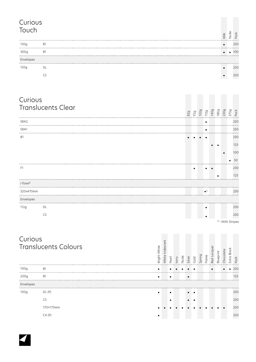### Curious Touch Nude  $\frac{1}{2}$  Pack Milk 120g B1 250  $\sim$ . . . . . . . . . . . . . . . . . . . . . 300g B1 100  $\cdots$ . . . . . . Envelopes ........ ..... . . . . . . . . 120g DL ● 250  $\sim$  250

| Curious             |                             |              |                  |           |       |      |           |                |        |                                                                       |             |           |                                                           |             |                  |
|---------------------|-----------------------------|--------------|------------------|-----------|-------|------|-----------|----------------|--------|-----------------------------------------------------------------------|-------------|-----------|-----------------------------------------------------------|-------------|------------------|
|                     | <b>Translucents Clear</b>   |              |                  |           |       |      |           |                |        |                                                                       |             |           | 829<br>929<br>129<br>1409<br>1309<br>1309<br>2309<br>2309 |             |                  |
| SRA <sub>2</sub>    |                             |              |                  |           |       |      |           |                |        | $\bullet$                                                             |             |           |                                                           |             | 250              |
| SRA1                |                             |              |                  |           |       |      |           |                |        | $\bullet$                                                             |             |           |                                                           |             | 250              |
| <b>B1</b>           |                             |              |                  |           |       |      |           |                |        |                                                                       |             |           |                                                           |             | 250              |
|                     |                             |              |                  |           |       |      |           |                |        |                                                                       |             |           |                                                           |             | 125              |
|                     |                             |              |                  |           |       |      |           |                |        |                                                                       |             |           |                                                           |             | 100              |
|                     |                             |              |                  |           |       |      |           |                |        |                                                                       |             |           |                                                           |             | 50               |
| F1                  |                             |              |                  |           |       |      |           |                |        |                                                                       |             |           |                                                           |             | 250              |
|                     |                             |              |                  |           |       |      |           |                |        |                                                                       |             |           |                                                           |             | 125              |
| i-Tone <sup>®</sup> |                             |              |                  |           |       |      |           |                |        |                                                                       |             |           |                                                           |             |                  |
| 320x470mm           |                             |              |                  |           |       |      |           |                |        | $\bullet^{\scriptscriptstyle\mathsf{W} \scriptscriptstyle\mathsf{S}}$ |             |           |                                                           |             | 250              |
| Envelopes           |                             |              |                  |           |       |      |           |                |        |                                                                       |             |           |                                                           |             |                  |
| 112g                | DL                          |              |                  |           |       |      |           |                |        |                                                                       |             |           |                                                           |             | 250              |
|                     | C <sub>5</sub>              |              |                  |           |       |      |           |                |        |                                                                       |             |           |                                                           |             | 250              |
|                     |                             |              |                  |           |       |      |           |                |        |                                                                       |             |           |                                                           |             | ws: With Stripes |
|                     |                             |              |                  |           |       |      |           |                |        |                                                                       |             |           |                                                           |             |                  |
| Curious             |                             |              |                  |           |       |      |           |                |        |                                                                       |             |           |                                                           |             |                  |
|                     | <b>Translucents Colours</b> |              | White Iridescent |           |       |      |           |                |        |                                                                       |             |           |                                                           |             |                  |
|                     |                             | Bright White |                  |           |       |      |           |                |        |                                                                       | Red Lacquer | Blueprint | Chocolate                                                 | Extra Black |                  |
|                     |                             |              |                  | Pearl     | Ivory | Nude |           | Silver<br>Gold | Spring | Flame                                                                 |             |           |                                                           |             | Pack             |
| 100g                | B1                          |              |                  |           |       |      |           |                |        |                                                                       | $\bullet$   |           |                                                           |             | 250              |
| 200 <sub>q</sub>    | <b>B1</b>                   |              |                  |           |       |      | $\bullet$ |                |        |                                                                       |             |           |                                                           |             | 125              |
| Envelopes           |                             |              |                  |           |       |      |           |                |        |                                                                       |             |           |                                                           |             |                  |
| 100q                | DL(P)                       | $\bullet$    |                  | $\bullet$ |       |      | $\bullet$ | $\bullet$      |        |                                                                       |             |           |                                                           |             | 250              |

C5 250 170×170mm 250  $C4$  (P) 250

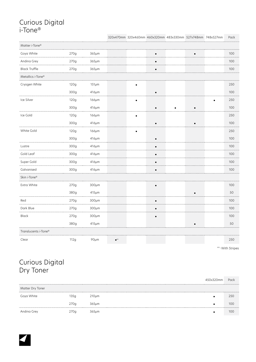# Curious Digital i-Tone®

## 320x470mm 320x460mm 460x320mm 483x330mm 527x748mm 748x527mm Pack

| .<br>Matter i-Tone®<br>.  |      |             |                         |           |           |           |     |
|---------------------------|------|-------------|-------------------------|-----------|-----------|-----------|-----|
| Goya White<br>.           | 270g | $365 \mu m$ |                         | $\bullet$ |           | $\bullet$ | 100 |
| Andina Grey               | 270g | 365µm       |                         |           |           |           | 100 |
| <b>Black Truffle</b><br>. | 270g | $365 \mu m$ |                         | $\bullet$ |           |           | 100 |
| Metallics i-Tone®         |      |             |                         |           |           |           |     |
| Cryogen White             | 120g | $151 \mu m$ |                         |           |           |           | 250 |
|                           | 300g | 416µm       |                         | $\bullet$ |           |           | 100 |
| Ice Silver                | 120g | 166µm       |                         |           |           |           | 250 |
|                           | 300g | 416µm       |                         | $\bullet$ | $\bullet$ | $\bullet$ | 100 |
| Ice Gold                  | 120g | 166µm       |                         |           |           |           | 250 |
|                           | 300g | 416µm       |                         | $\bullet$ |           | $\bullet$ | 100 |
| White Gold                | 120g | 166µm       |                         |           |           |           | 250 |
| .                         | 300g | 416µm       |                         |           |           |           | 100 |
| Lustre<br>.               | 300q | 416µm       |                         | $\bullet$ |           |           | 100 |
| Gold Leaf                 | 300g | 416µm       |                         | $\bullet$ |           |           | 100 |
| Super Gold<br>.           | 300g | 416µm       |                         | $\bullet$ |           |           | 100 |
| Galvanised<br>            | 300g | 416µm       |                         |           |           |           | 100 |
| Skin i-Tone®              |      |             |                         |           |           |           |     |
| Extra White               | 270g | 300µm       |                         |           |           |           | 100 |
|                           | 380g | $415 \mu m$ |                         |           |           |           | 50  |
| Red<br>.                  | 270q | $300µ$ m    |                         | $\bullet$ |           |           | 100 |
| Dark Blue<br>.            | 270g | $300 \mu m$ |                         |           |           |           | 100 |
| Black                     | 270g | 300µm       |                         | $\bullet$ |           |           | 100 |
|                           | 380g | 415µm       |                         |           |           |           | 50  |
| Translucents i-Tone®      |      |             |                         |           |           |           |     |
| Clear                     | 112g | 90µm        | $\bullet$ <sup>WS</sup> |           |           |           | 250 |

ws: With Stripes

# Curious Digital Dry Toner

|                  |      |             | 450x320mm | Pack |
|------------------|------|-------------|-----------|------|
| Matter Dry Toner |      |             |           |      |
| Goya White       | ,35o | $210 \mu m$ |           | 250  |
|                  | 270q | 365um       |           | 100  |
| Andina Grey      | 270g | 365um       |           |      |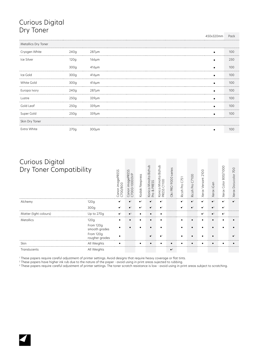# Curious Digital Dry Toner

450x320mm Pack

| Metallics Dry Toner |                  |             |     |
|---------------------|------------------|-------------|-----|
| Cryogen White       | 240g             | $287 \mu m$ | 100 |
| Ice Silver          | 120 <sub>g</sub> | $166 \mu m$ | 250 |
|                     | 300q             | 416um       | 100 |
| Ice Gold            | 300q             | $416 \mu m$ | 100 |
| White Gold          | 300q             | $416 \mu m$ | 100 |
| Europa Ivory        | 240q             | $287 \mu m$ | 100 |
| Lustre              | 250q             | 339µm       | 100 |
| Gold Leaf           | 250q             | 339µm       | 100 |
| Super Gold          | 250g             | $339 \mu m$ | 100 |
| Skin Dry Toner      |                  |             |     |
| Extra White         | 270a             | $300µ$ m    | 100 |

| <b>Curious Digital</b><br>Dry Toner Compatibility |                             |             | S<br>$\Omega$<br>5<br>ŏ<br>Ō<br>$\rightarrow$ | ess<br>Nexpre<br>odak | Minolta Bizhub<br>$\cup$<br>Ш<br>$\sim$<br>∩<br>conica<br>∞<br>ō | Bizhub<br>Minolta<br>1100<br>onica<br>₩<br>$\cap$ | $\omega$<br>series<br>9000<br><b>OKI PRO</b> | 751<br>Pro<br>Ricoh | C7100<br>Pro<br>Ricoh | $\circ$<br>210<br>Versant<br>xoue<br>$\times$ | iGen<br>Xerox  | 1000<br>800/<br>Color<br>erox<br>$\times$ | $\circ$<br>$\circ$<br>$\overline{\phantom{0}}$<br>ocucolor<br>$\cap$<br>Xerox |
|---------------------------------------------------|-----------------------------|-------------|-----------------------------------------------|-----------------------|------------------------------------------------------------------|---------------------------------------------------|----------------------------------------------|---------------------|-----------------------|-----------------------------------------------|----------------|-------------------------------------------|-------------------------------------------------------------------------------|
| Alchemy                                           | 120a                        |             |                                               |                       |                                                                  |                                                   |                                              |                     |                       |                                               |                |                                           |                                                                               |
|                                                   | 300q                        |             |                                               |                       |                                                                  |                                                   |                                              |                     |                       |                                               |                |                                           |                                                                               |
| Matter (light colours)                            | Up to 270g                  | $\bullet^2$ | $\bullet^2$                                   |                       |                                                                  |                                                   |                                              |                     |                       | <br>$\bullet$ <sup>3</sup>                    | $^{\bullet^2}$ | $\bullet$ <sup>2</sup>                    |                                                                               |
| <b>Metallics</b>                                  | 120q                        |             |                                               |                       |                                                                  |                                                   |                                              |                     |                       |                                               |                |                                           |                                                                               |
|                                                   | From 120g<br>smooth grades  |             |                                               |                       |                                                                  |                                                   |                                              |                     |                       |                                               |                |                                           |                                                                               |
|                                                   | From 120g<br>rougher grades |             |                                               |                       |                                                                  |                                                   |                                              |                     |                       |                                               |                |                                           |                                                                               |
| Skin                                              | All Weights                 |             |                                               |                       |                                                                  |                                                   |                                              |                     |                       |                                               |                |                                           |                                                                               |
| Translucents                                      | All Weights                 |             |                                               |                       |                                                                  |                                                   | $\bullet^3$                                  |                     |                       |                                               |                |                                           |                                                                               |

1 These papers require careful adjustment of printer settings. Avoid designs that require heavy coverage or flat tints.

<sup>2</sup> These papers have higher ink rub due to the nature of the paper - avoid using in print areas sujected to rubbing.<br><sup>3</sup> These papers require careful adjustment of printer settings. The toner scratch resistance is low - a